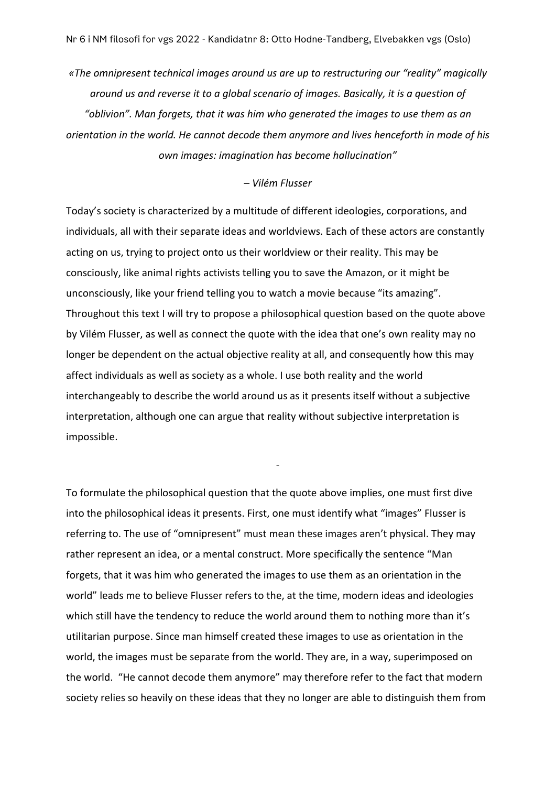*«The omnipresent technical images around us are up to restructuring our "reality" magically around us and reverse it to a global scenario of images. Basically, it is a question of "oblivion". Man forgets, that it was him who generated the images to use them as an orientation in the world. He cannot decode them anymore and lives henceforth in mode of his own images: imagination has become hallucination"*

## *– Vilém Flusser*

Today's society is characterized by a multitude of different ideologies, corporations, and individuals, all with their separate ideas and worldviews. Each of these actors are constantly acting on us, trying to project onto us their worldview or their reality. This may be consciously, like animal rights activists telling you to save the Amazon, or it might be unconsciously, like your friend telling you to watch a movie because "its amazing". Throughout this text I will try to propose a philosophical question based on the quote above by Vilém Flusser, as well as connect the quote with the idea that one's own reality may no longer be dependent on the actual objective reality at all, and consequently how this may affect individuals as well as society as a whole. I use both reality and the world interchangeably to describe the world around us as it presents itself without a subjective interpretation, although one can argue that reality without subjective interpretation is impossible.

To formulate the philosophical question that the quote above implies, one must first dive into the philosophical ideas it presents. First, one must identify what "images" Flusser is referring to. The use of "omnipresent" must mean these images aren't physical. They may rather represent an idea, or a mental construct. More specifically the sentence "Man forgets, that it was him who generated the images to use them as an orientation in the world" leads me to believe Flusser refers to the, at the time, modern ideas and ideologies which still have the tendency to reduce the world around them to nothing more than it's utilitarian purpose. Since man himself created these images to use as orientation in the world, the images must be separate from the world. They are, in a way, superimposed on the world. "He cannot decode them anymore" may therefore refer to the fact that modern society relies so heavily on these ideas that they no longer are able to distinguish them from

-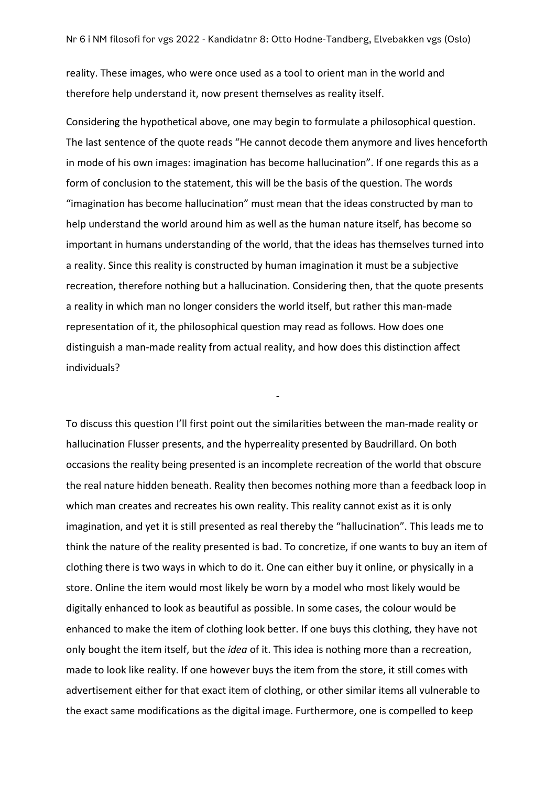reality. These images, who were once used as a tool to orient man in the world and therefore help understand it, now present themselves as reality itself.

Considering the hypothetical above, one may begin to formulate a philosophical question. The last sentence of the quote reads "He cannot decode them anymore and lives henceforth in mode of his own images: imagination has become hallucination". If one regards this as a form of conclusion to the statement, this will be the basis of the question. The words "imagination has become hallucination" must mean that the ideas constructed by man to help understand the world around him as well as the human nature itself, has become so important in humans understanding of the world, that the ideas has themselves turned into a reality. Since this reality is constructed by human imagination it must be a subjective recreation, therefore nothing but a hallucination. Considering then, that the quote presents a reality in which man no longer considers the world itself, but rather this man-made representation of it, the philosophical question may read as follows. How does one distinguish a man-made reality from actual reality, and how does this distinction affect individuals?

-

To discuss this question I'll first point out the similarities between the man-made reality or hallucination Flusser presents, and the hyperreality presented by Baudrillard. On both occasions the reality being presented is an incomplete recreation of the world that obscure the real nature hidden beneath. Reality then becomes nothing more than a feedback loop in which man creates and recreates his own reality. This reality cannot exist as it is only imagination, and yet it is still presented as real thereby the "hallucination". This leads me to think the nature of the reality presented is bad. To concretize, if one wants to buy an item of clothing there is two ways in which to do it. One can either buy it online, or physically in a store. Online the item would most likely be worn by a model who most likely would be digitally enhanced to look as beautiful as possible. In some cases, the colour would be enhanced to make the item of clothing look better. If one buys this clothing, they have not only bought the item itself, but the *idea* of it. This idea is nothing more than a recreation, made to look like reality. If one however buys the item from the store, it still comes with advertisement either for that exact item of clothing, or other similar items all vulnerable to the exact same modifications as the digital image. Furthermore, one is compelled to keep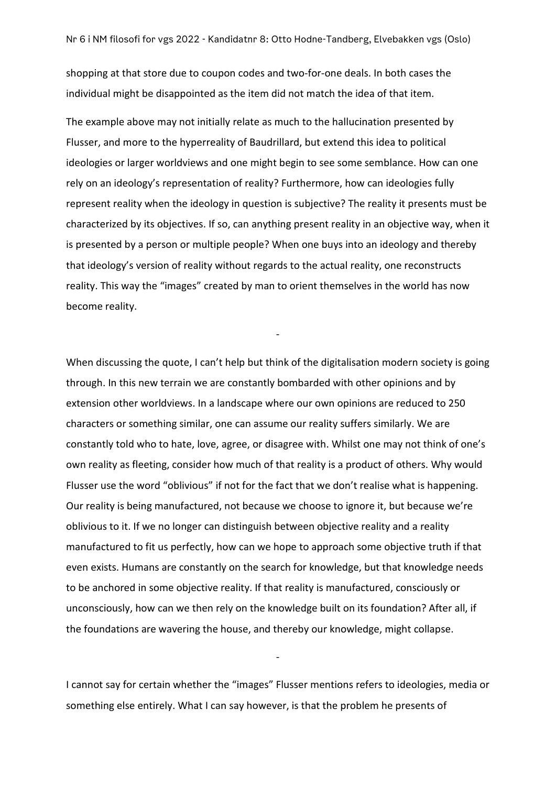shopping at that store due to coupon codes and two-for-one deals. In both cases the individual might be disappointed as the item did not match the idea of that item.

The example above may not initially relate as much to the hallucination presented by Flusser, and more to the hyperreality of Baudrillard, but extend this idea to political ideologies or larger worldviews and one might begin to see some semblance. How can one rely on an ideology's representation of reality? Furthermore, how can ideologies fully represent reality when the ideology in question is subjective? The reality it presents must be characterized by its objectives. If so, can anything present reality in an objective way, when it is presented by a person or multiple people? When one buys into an ideology and thereby that ideology's version of reality without regards to the actual reality, one reconstructs reality. This way the "images" created by man to orient themselves in the world has now become reality.

-

When discussing the quote, I can't help but think of the digitalisation modern society is going through. In this new terrain we are constantly bombarded with other opinions and by extension other worldviews. In a landscape where our own opinions are reduced to 250 characters or something similar, one can assume our reality suffers similarly. We are constantly told who to hate, love, agree, or disagree with. Whilst one may not think of one's own reality as fleeting, consider how much of that reality is a product of others. Why would Flusser use the word "oblivious" if not for the fact that we don't realise what is happening. Our reality is being manufactured, not because we choose to ignore it, but because we're oblivious to it. If we no longer can distinguish between objective reality and a reality manufactured to fit us perfectly, how can we hope to approach some objective truth if that even exists. Humans are constantly on the search for knowledge, but that knowledge needs to be anchored in some objective reality. If that reality is manufactured, consciously or unconsciously, how can we then rely on the knowledge built on its foundation? After all, if the foundations are wavering the house, and thereby our knowledge, might collapse.

I cannot say for certain whether the "images" Flusser mentions refers to ideologies, media or something else entirely. What I can say however, is that the problem he presents of

-